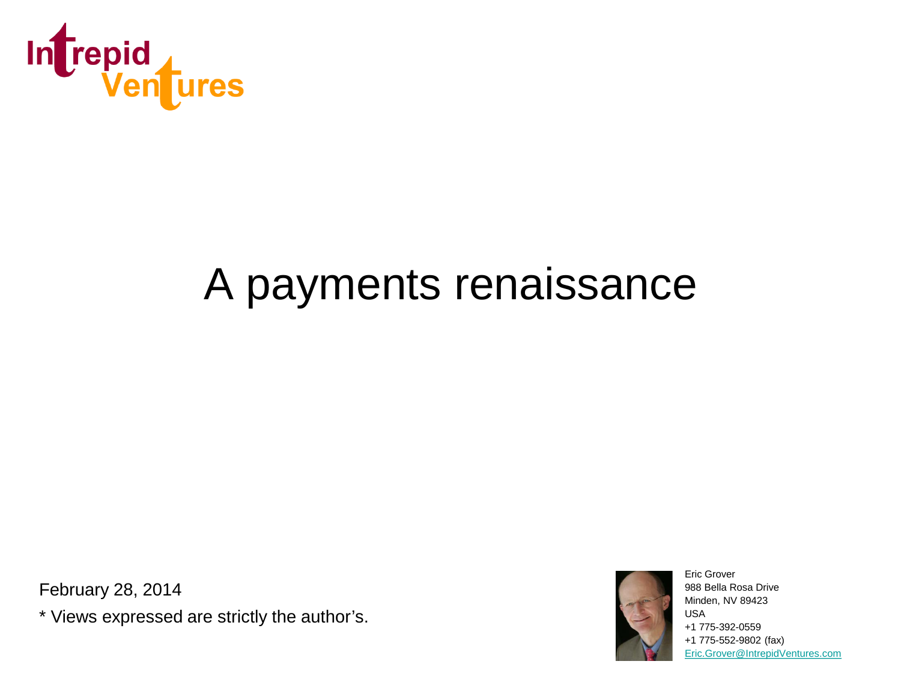

# A payments renaissance

February 28, 2014

\* Views expressed are strictly the author's.



Eric Grover 988 Bella Rosa Drive Minden, NV 89423 USA +1 775-392-0559 +1 775-552-9802 (fax) [Eric.Grover@IntrepidVentures.com](mailto:Eric.Grover@IntrepidVentures.com)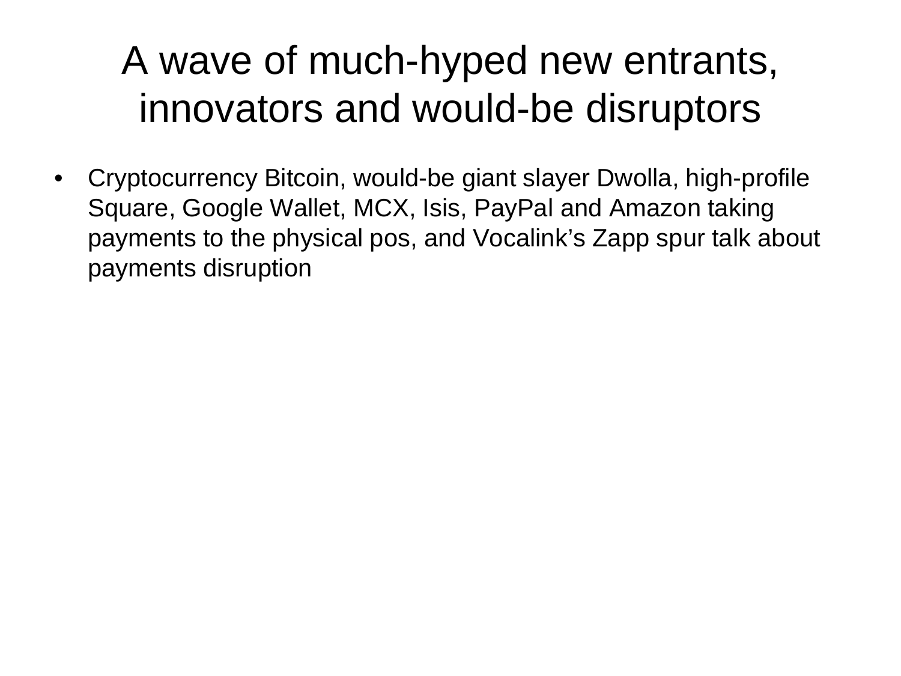### A wave of much-hyped new entrants, innovators and would-be disruptors

• Cryptocurrency Bitcoin, would-be giant slayer Dwolla, high-profile Square, Google Wallet, MCX, Isis, PayPal and Amazon taking payments to the physical pos, and Vocalink's Zapp spur talk about payments disruption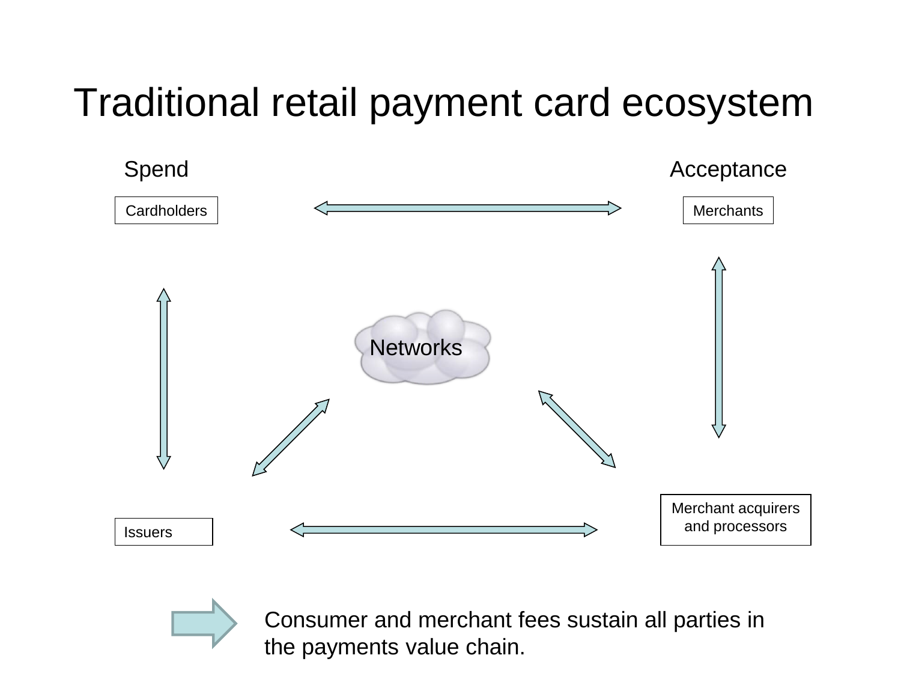#### Traditional retail payment card ecosystem





Consumer and merchant fees sustain all parties in the payments value chain.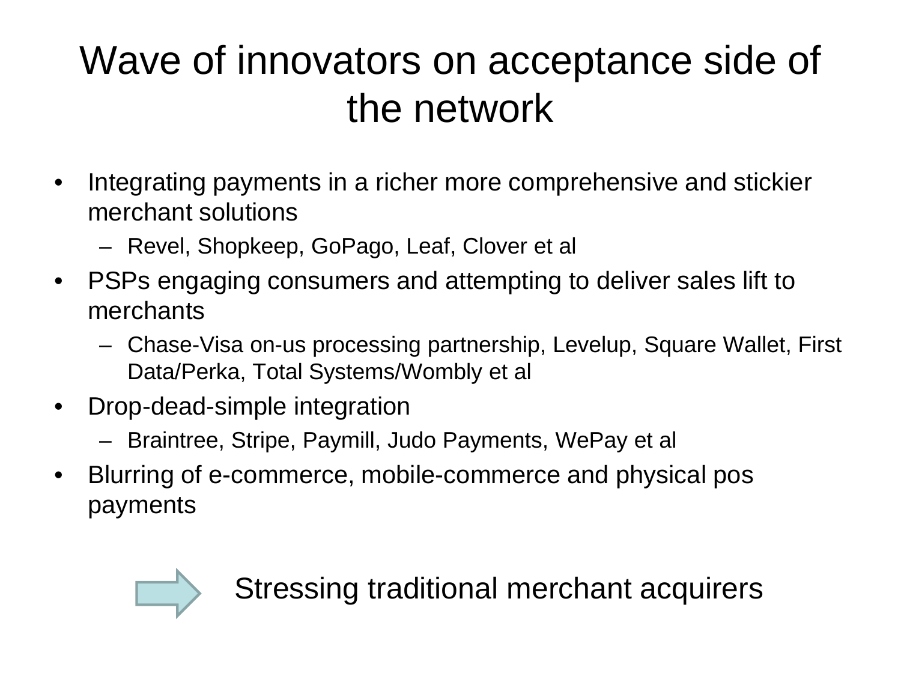## Wave of innovators on acceptance side of the network

- Integrating payments in a richer more comprehensive and stickier merchant solutions
	- Revel, Shopkeep, GoPago, Leaf, Clover et al
- PSPs engaging consumers and attempting to deliver sales lift to merchants
	- Chase-Visa on-us processing partnership, Levelup, Square Wallet, First Data/Perka, Total Systems/Wombly et al
- Drop-dead-simple integration
	- Braintree, Stripe, Paymill, Judo Payments, WePay et al
- Blurring of e-commerce, mobile-commerce and physical pos payments



Stressing traditional merchant acquirers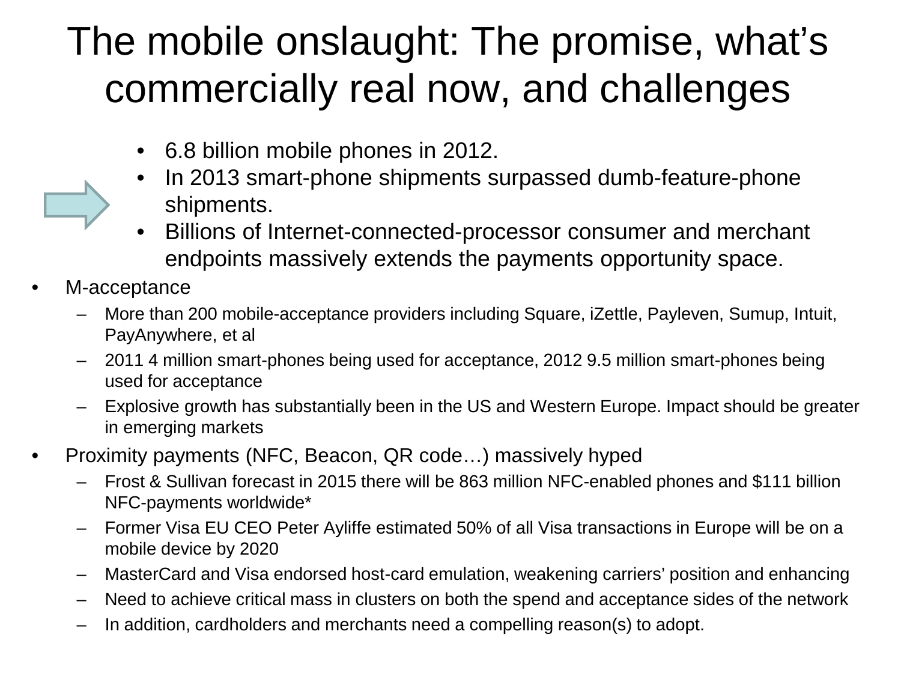### The mobile onslaught: The promise, what's commercially real now, and challenges

- 6.8 billion mobile phones in 2012.
- In 2013 smart-phone shipments surpassed dumb-feature-phone shipments.
- Billions of Internet-connected-processor consumer and merchant endpoints massively extends the payments opportunity space.
- M-acceptance
	- More than 200 mobile-acceptance providers including Square, iZettle, Payleven, Sumup, Intuit, PayAnywhere, et al
	- 2011 4 million smart-phones being used for acceptance, 2012 9.5 million smart-phones being used for acceptance
	- Explosive growth has substantially been in the US and Western Europe. Impact should be greater in emerging markets
- Proximity payments (NFC, Beacon, QR code…) massively hyped
	- Frost & Sullivan forecast in 2015 there will be 863 million NFC-enabled phones and \$111 billion NFC-payments worldwide\*
	- Former Visa EU CEO Peter Ayliffe estimated 50% of all Visa transactions in Europe will be on a mobile device by 2020
	- MasterCard and Visa endorsed host-card emulation, weakening carriers' position and enhancing
	- Need to achieve critical mass in clusters on both the spend and acceptance sides of the network
	- In addition, cardholders and merchants need a compelling reason(s) to adopt.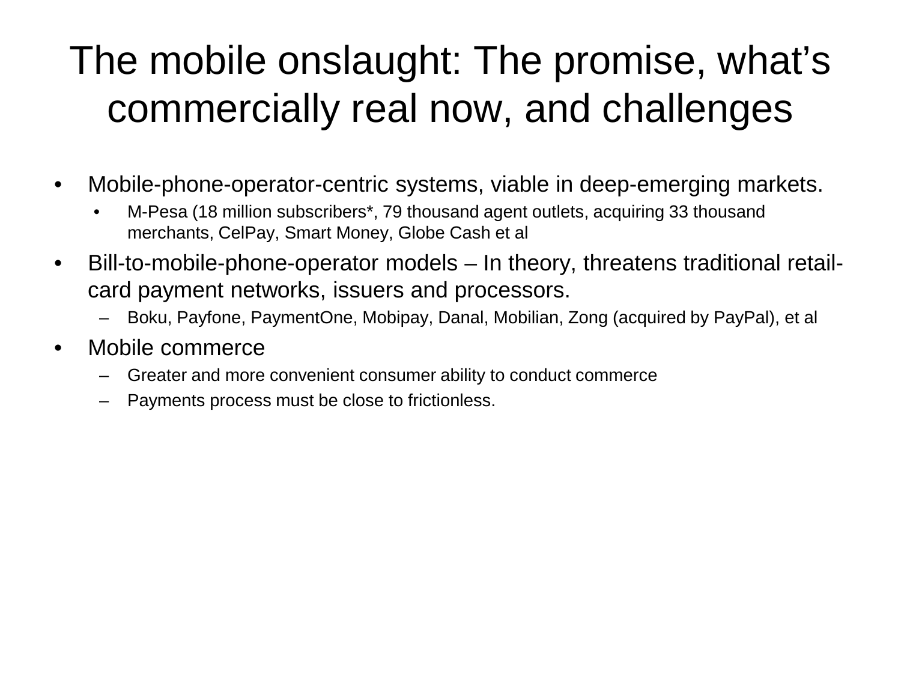## The mobile onslaught: The promise, what's commercially real now, and challenges

- Mobile-phone-operator-centric systems, viable in deep-emerging markets.
	- M-Pesa (18 million subscribers\*, 79 thousand agent outlets, acquiring 33 thousand merchants, CelPay, Smart Money, Globe Cash et al
- Bill-to-mobile-phone-operator models In theory, threatens traditional retailcard payment networks, issuers and processors.
	- Boku, Payfone, PaymentOne, Mobipay, Danal, Mobilian, Zong (acquired by PayPal), et al
- Mobile commerce
	- Greater and more convenient consumer ability to conduct commerce
	- Payments process must be close to frictionless.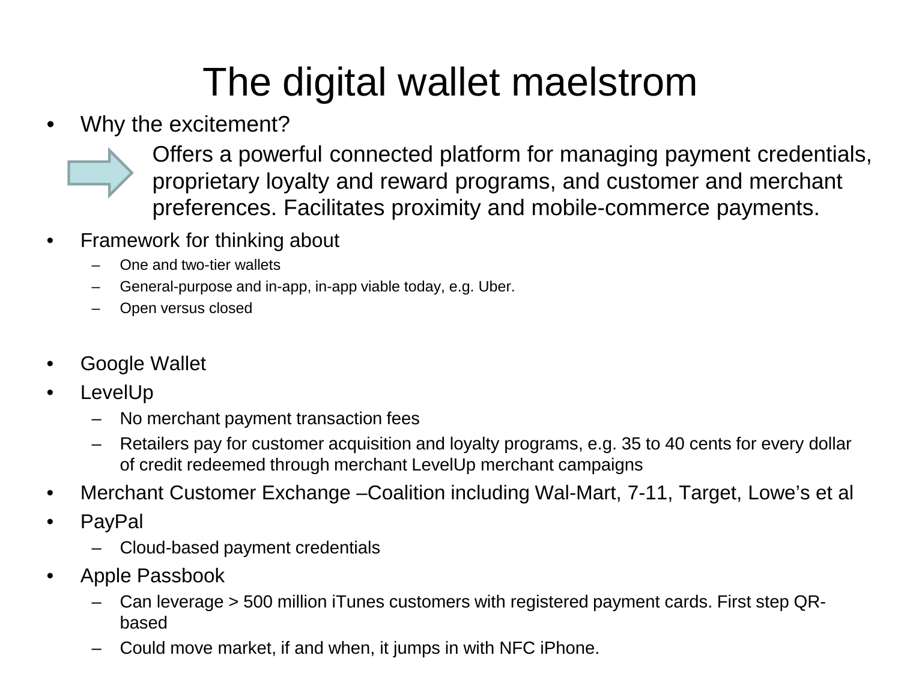## The digital wallet maelstrom

• Why the excitement?

Offers a powerful connected platform for managing payment credentials, proprietary loyalty and reward programs, and customer and merchant preferences. Facilitates proximity and mobile-commerce payments.

- Framework for thinking about
	- One and two-tier wallets
	- General-purpose and in-app, in-app viable today, e.g. Uber.
	- Open versus closed
- Google Wallet
- **LevelUp** 
	- No merchant payment transaction fees
	- Retailers pay for customer acquisition and loyalty programs, e.g. 35 to 40 cents for every dollar of credit redeemed through merchant LevelUp merchant campaigns
- Merchant Customer Exchange Coalition including Wal-Mart, 7-11, Target, Lowe's et al
- PayPal
	- Cloud-based payment credentials
- Apple Passbook
	- Can leverage > 500 million iTunes customers with registered payment cards. First step QRbased
	- Could move market, if and when, it jumps in with NFC iPhone.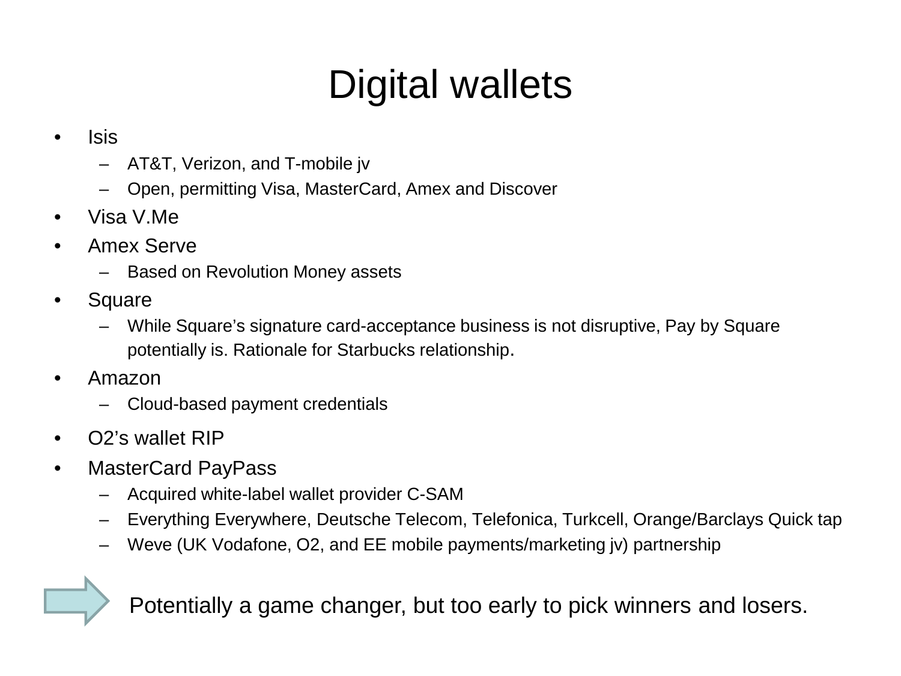## Digital wallets

#### • Isis

- AT&T, Verizon, and T-mobile jv
- Open, permitting Visa, MasterCard, Amex and Discover
- Visa V.Me
- Amex Serve
	- Based on Revolution Money assets
- Square
	- While Square's signature card-acceptance business is not disruptive, Pay by Square potentially is. Rationale for Starbucks relationship.
- Amazon
	- Cloud-based payment credentials
- O2's wallet RIP
- MasterCard PayPass
	- Acquired white-label wallet provider C-SAM
	- Everything Everywhere, Deutsche Telecom, Telefonica, Turkcell, Orange/Barclays Quick tap
	- Weve (UK Vodafone, O2, and EE mobile payments/marketing jv) partnership

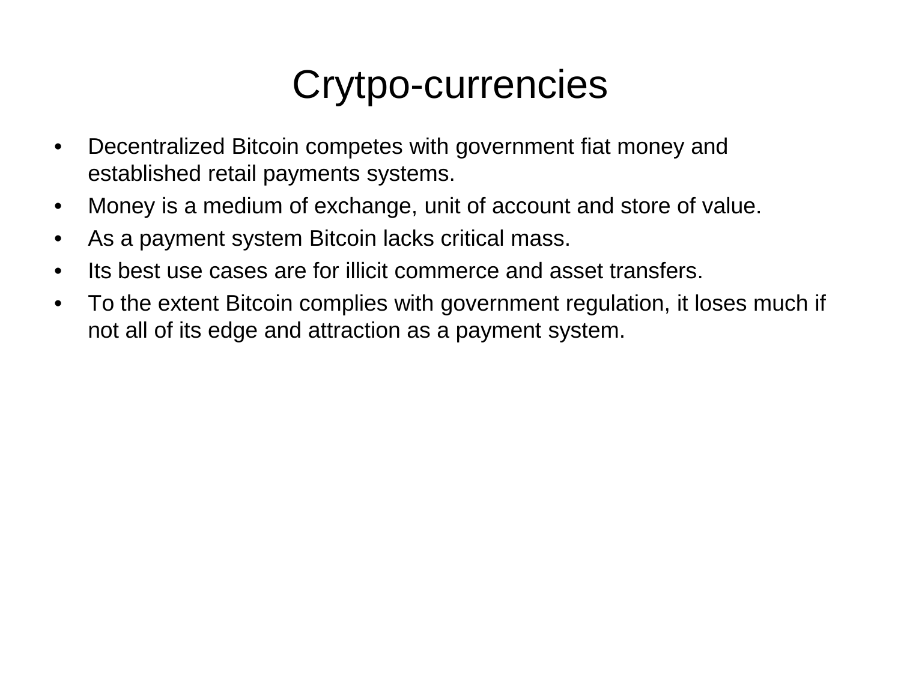#### Crytpo-currencies

- Decentralized Bitcoin competes with government fiat money and established retail payments systems.
- Money is a medium of exchange, unit of account and store of value.
- As a payment system Bitcoin lacks critical mass.
- Its best use cases are for illicit commerce and asset transfers.
- To the extent Bitcoin complies with government regulation, it loses much if not all of its edge and attraction as a payment system.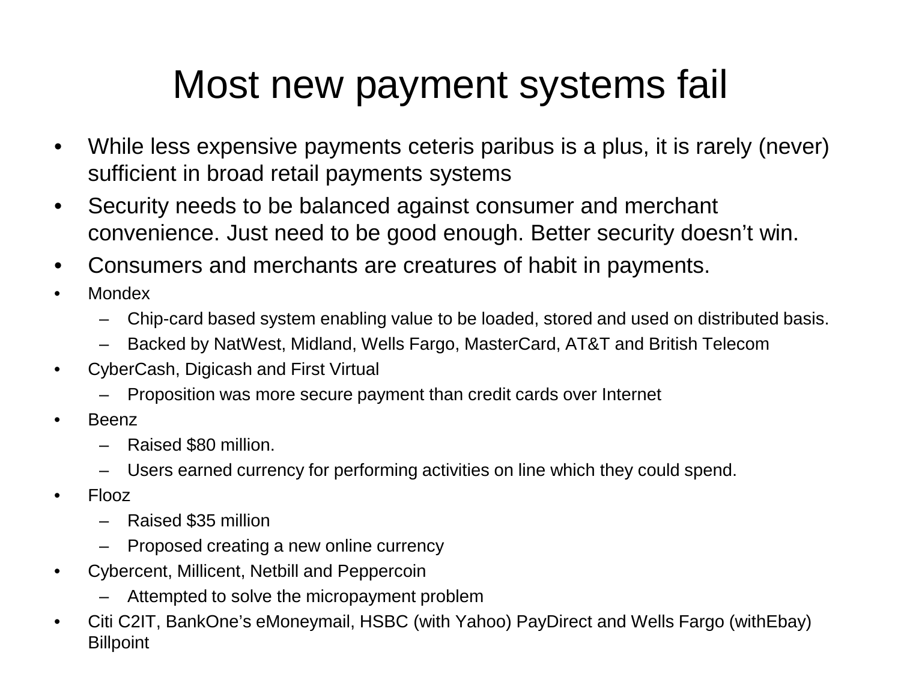### Most new payment systems fail

- While less expensive payments ceteris paribus is a plus, it is rarely (never) sufficient in broad retail payments systems
- Security needs to be balanced against consumer and merchant convenience. Just need to be good enough. Better security doesn't win.
- Consumers and merchants are creatures of habit in payments.
- Mondex
	- Chip-card based system enabling value to be loaded, stored and used on distributed basis.
	- Backed by NatWest, Midland, Wells Fargo, MasterCard, AT&T and British Telecom
- CyberCash, Digicash and First Virtual
	- Proposition was more secure payment than credit cards over Internet
- Beenz
	- Raised \$80 million.
	- Users earned currency for performing activities on line which they could spend.
- Flooz
	- Raised \$35 million
	- Proposed creating a new online currency
- Cybercent, Millicent, Netbill and Peppercoin
	- Attempted to solve the micropayment problem
- Citi C2IT, BankOne's eMoneymail, HSBC (with Yahoo) PayDirect and Wells Fargo (withEbay) **Billpoint**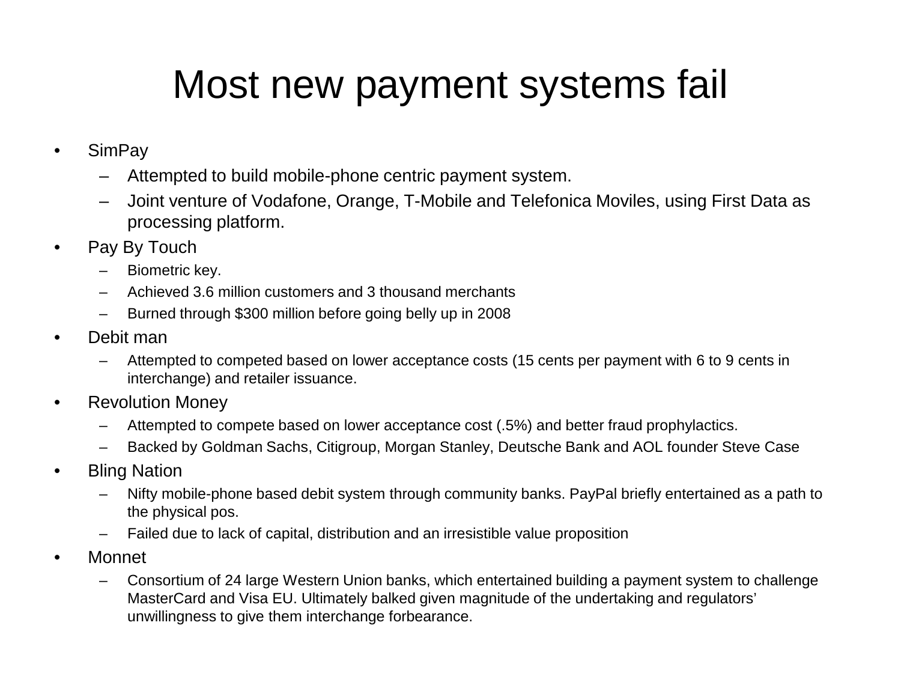## Most new payment systems fail

- SimPay
	- Attempted to build mobile-phone centric payment system.
	- Joint venture of Vodafone, Orange, T-Mobile and Telefonica Moviles, using First Data as processing platform.
- Pay By Touch
	- Biometric key.
	- Achieved 3.6 million customers and 3 thousand merchants
	- Burned through \$300 million before going belly up in 2008
- Debit man
	- Attempted to competed based on lower acceptance costs (15 cents per payment with 6 to 9 cents in interchange) and retailer issuance.
- Revolution Money
	- Attempted to compete based on lower acceptance cost (.5%) and better fraud prophylactics.
	- Backed by Goldman Sachs, Citigroup, Morgan Stanley, Deutsche Bank and AOL founder Steve Case
- Bling Nation
	- Nifty mobile-phone based debit system through community banks. PayPal briefly entertained as a path to the physical pos.
	- Failed due to lack of capital, distribution and an irresistible value proposition
- Monnet
	- Consortium of 24 large Western Union banks, which entertained building a payment system to challenge MasterCard and Visa EU. Ultimately balked given magnitude of the undertaking and regulators' unwillingness to give them interchange forbearance.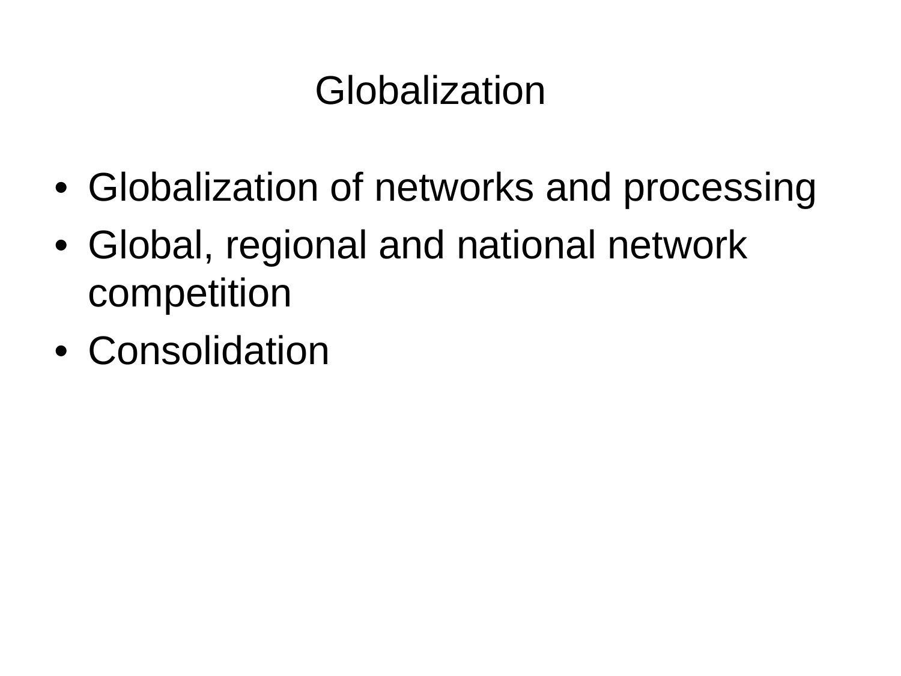#### Globalization

- Globalization of networks and processing
- Global, regional and national network competition
- Consolidation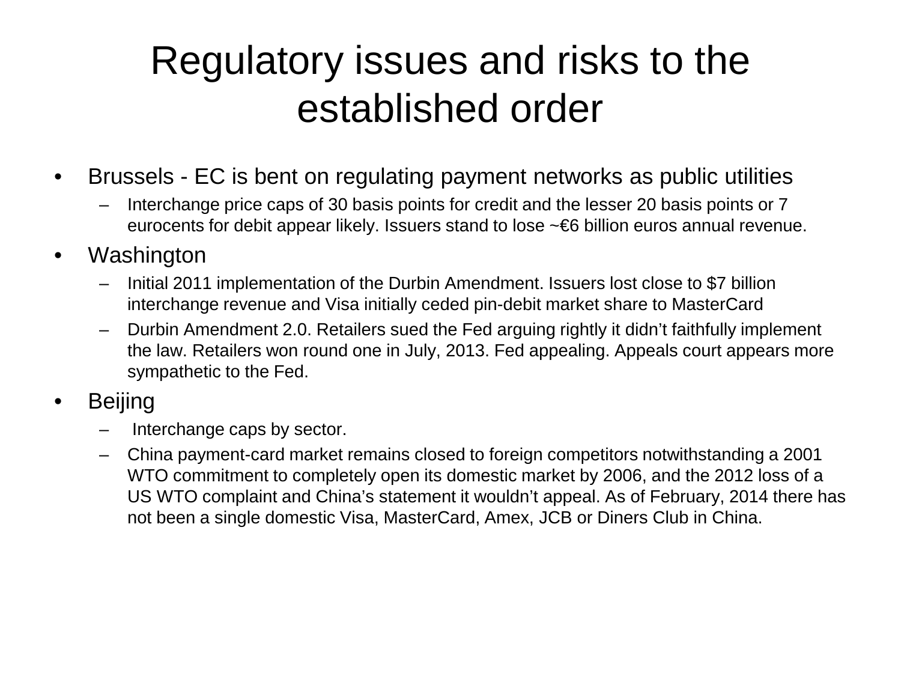### Regulatory issues and risks to the established order

- Brussels EC is bent on regulating payment networks as public utilities
	- Interchange price caps of 30 basis points for credit and the lesser 20 basis points or 7 eurocents for debit appear likely. Issuers stand to lose ~€6 billion euros annual revenue.
- Washington
	- Initial 2011 implementation of the Durbin Amendment. Issuers lost close to \$7 billion interchange revenue and Visa initially ceded pin-debit market share to MasterCard
	- Durbin Amendment 2.0. Retailers sued the Fed arguing rightly it didn't faithfully implement the law. Retailers won round one in July, 2013. Fed appealing. Appeals court appears more sympathetic to the Fed.
- **Beijing** 
	- Interchange caps by sector.
	- China payment-card market remains closed to foreign competitors notwithstanding a 2001 WTO commitment to completely open its domestic market by 2006, and the 2012 loss of a US WTO complaint and China's statement it wouldn't appeal. As of February, 2014 there has not been a single domestic Visa, MasterCard, Amex, JCB or Diners Club in China.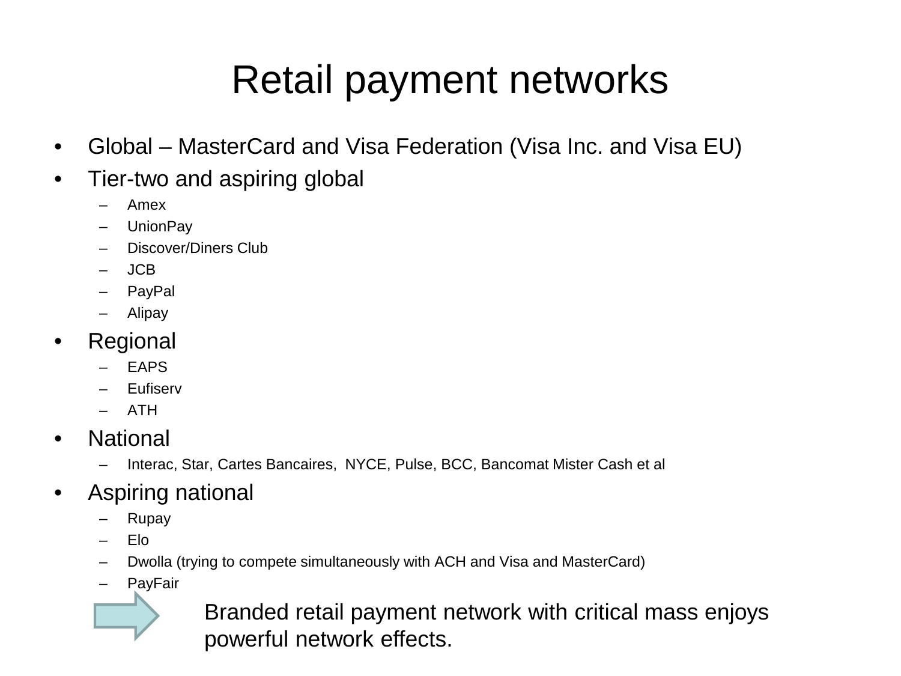## Retail payment networks

- Global MasterCard and Visa Federation (Visa Inc. and Visa EU)
- Tier-two and aspiring global
	- Amex
	- UnionPay
	- Discover/Diners Club
	- JCB
	- PayPal
	- Alipay
- Regional
	- EAPS
	- Eufiserv
	- ATH
- National
	- Interac, Star, Cartes Bancaires, NYCE, Pulse, BCC, Bancomat Mister Cash et al
- Aspiring national
	- Rupay
	- Elo
	- Dwolla (trying to compete simultaneously with ACH and Visa and MasterCard)
	- PayFair



Branded retail payment network with critical mass enjoys powerful network effects.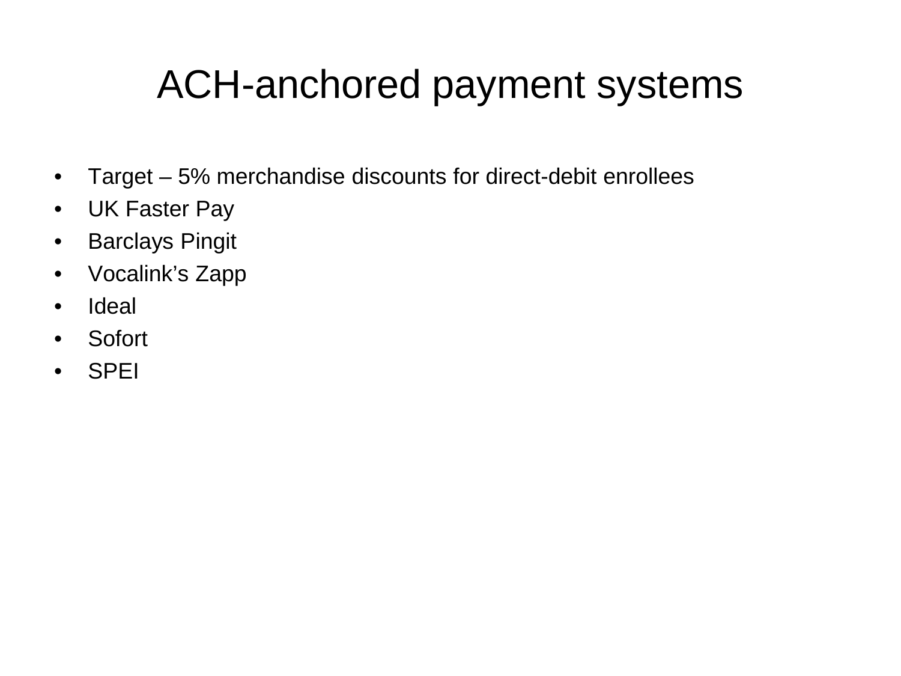#### ACH-anchored payment systems

- Target 5% merchandise discounts for direct-debit enrollees
- UK Faster Pay
- Barclays Pingit
- Vocalink's Zapp
- Ideal
- Sofort
- SPEI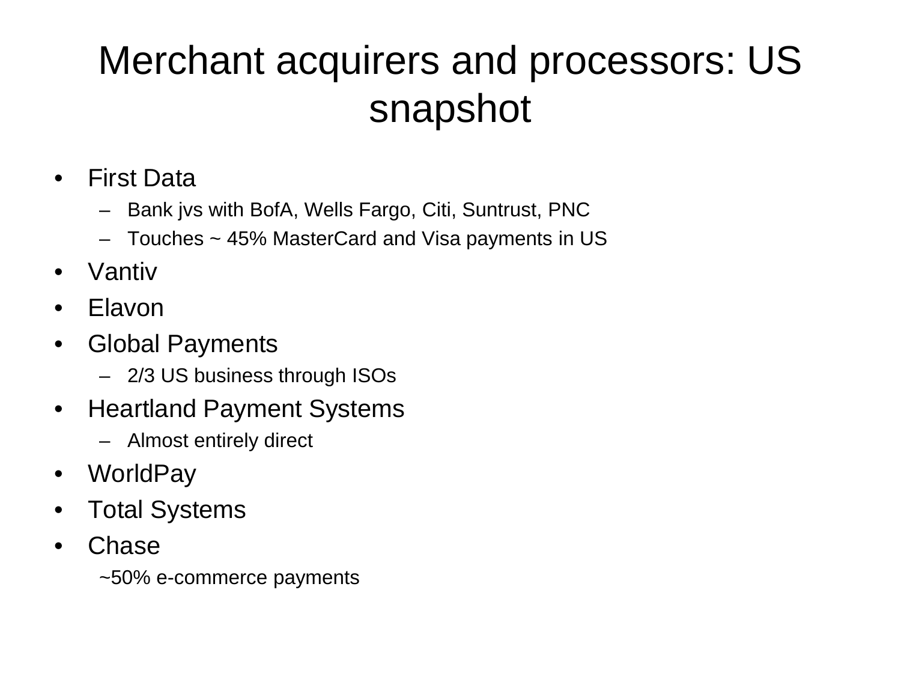## Merchant acquirers and processors: US snapshot

- First Data
	- Bank jvs with BofA, Wells Fargo, Citi, Suntrust, PNC
	- Touches ~ 45% MasterCard and Visa payments in US
- Vantiv
- Elavon
- Global Payments
	- 2/3 US business through ISOs
- Heartland Payment Systems
	- Almost entirely direct
- WorldPay
- Total Systems
- **Chase**

~50% e-commerce payments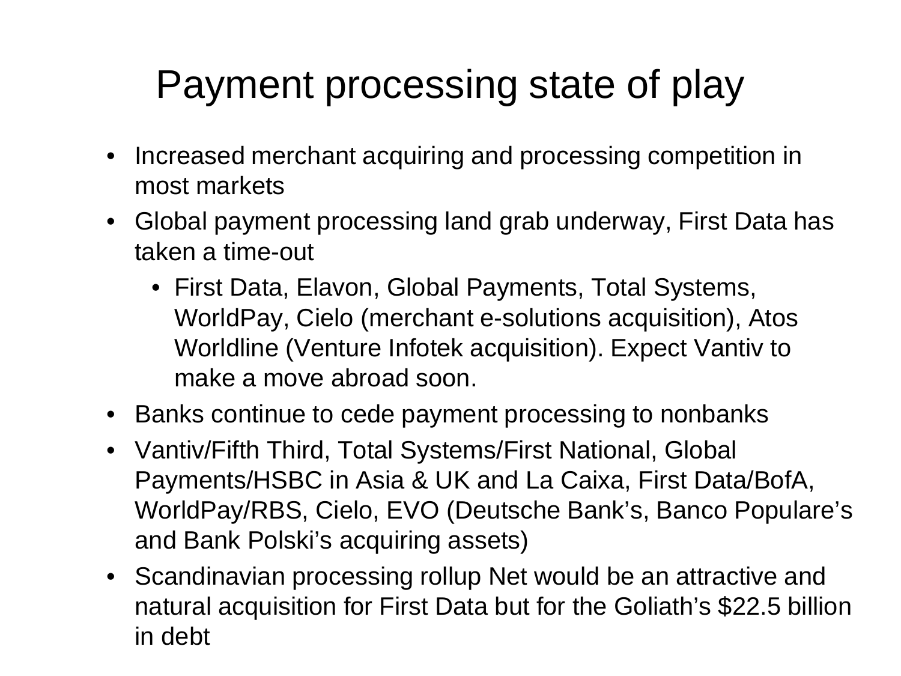## Payment processing state of play

- Increased merchant acquiring and processing competition in most markets
- Global payment processing land grab underway, First Data has taken a time-out
	- First Data, Elavon, Global Payments, Total Systems, WorldPay, Cielo (merchant e-solutions acquisition), Atos Worldline (Venture Infotek acquisition). Expect Vantiv to make a move abroad soon.
- Banks continue to cede payment processing to nonbanks
- Vantiv/Fifth Third, Total Systems/First National, Global Payments/HSBC in Asia & UK and La Caixa, First Data/BofA, WorldPay/RBS, Cielo, EVO (Deutsche Bank's, Banco Populare's and Bank Polski's acquiring assets)
- Scandinavian processing rollup Net would be an attractive and natural acquisition for First Data but for the Goliath's \$22.5 billion in debt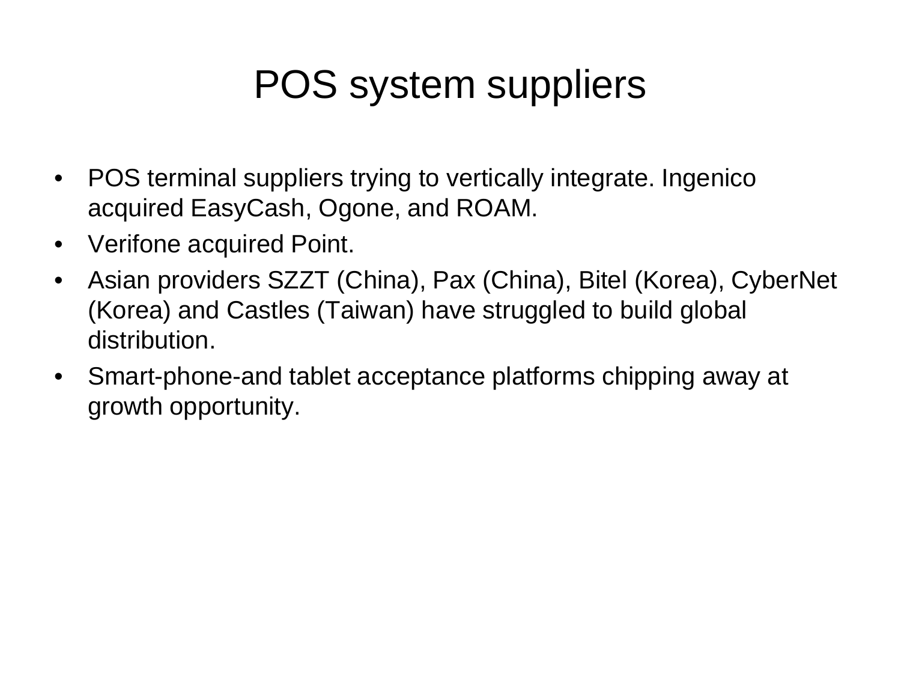## POS system suppliers

- POS terminal suppliers trying to vertically integrate. Ingenico acquired EasyCash, Ogone, and ROAM.
- Verifone acquired Point.
- Asian providers SZZT (China), Pax (China), Bitel (Korea), CyberNet (Korea) and Castles (Taiwan) have struggled to build global distribution.
- Smart-phone-and tablet acceptance platforms chipping away at growth opportunity.